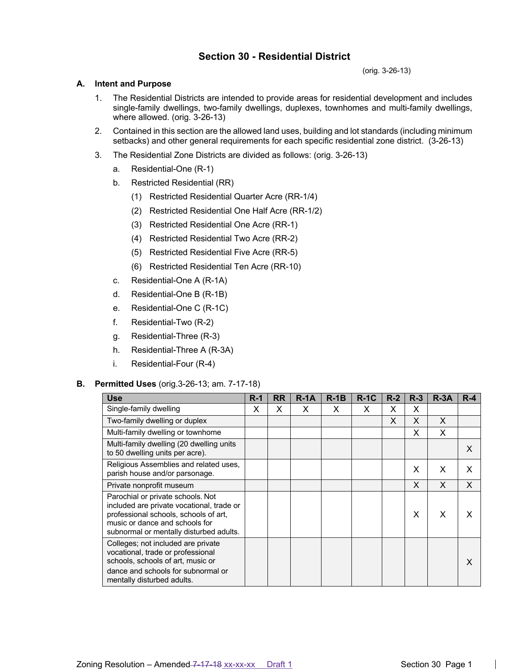# **Section 30 - Residential District**

(orig. 3-26-13)

# **A. Intent and Purpose**

- 1. The Residential Districts are intended to provide areas for residential development and includes single-family dwellings, two-family dwellings, duplexes, townhomes and multi-family dwellings, where allowed. (orig. 3-26-13)
- 2. Contained in this section are the allowed land uses, building and lot standards (including minimum setbacks) and other general requirements for each specific residential zone district. (3-26-13)
- 3. The Residential Zone Districts are divided as follows: (orig. 3-26-13)
	- a. Residential-One (R-1)
	- b. Restricted Residential (RR)
		- (1) Restricted Residential Quarter Acre (RR-1/4)
		- (2) Restricted Residential One Half Acre (RR-1/2)
		- (3) Restricted Residential One Acre (RR-1)
		- (4) Restricted Residential Two Acre (RR-2)
		- (5) Restricted Residential Five Acre (RR-5)
		- (6) Restricted Residential Ten Acre (RR-10)
	- c. Residential-One A (R-1A)
	- d. Residential-One B (R-1B)
	- e. Residential-One C (R-1C)
	- f. Residential-Two (R-2)
	- g. Residential-Three (R-3)
	- h. Residential-Three A (R-3A)
	- i. Residential-Four (R-4)

# **B. Permitted Uses** (orig.3-26-13; am. 7-17-18)

| <b>Use</b>                                                                                                                                                                                           | $R-1$ | <b>RR</b> | $R - 1A$ | $R-1B$ | $R-1C$ | $R-2$ | $R-3$ | $R - 3A$ | $R - 4$ |
|------------------------------------------------------------------------------------------------------------------------------------------------------------------------------------------------------|-------|-----------|----------|--------|--------|-------|-------|----------|---------|
| Single-family dwelling                                                                                                                                                                               | х     | X         | X        | X      | X      | x     | X     |          |         |
| Two-family dwelling or duplex                                                                                                                                                                        |       |           |          |        |        | X     | X     | X        |         |
| Multi-family dwelling or townhome                                                                                                                                                                    |       |           |          |        |        |       | X     | X        |         |
| Multi-family dwelling (20 dwelling units<br>to 50 dwelling units per acre).                                                                                                                          |       |           |          |        |        |       |       |          | X       |
| Religious Assemblies and related uses,<br>parish house and/or parsonage.                                                                                                                             |       |           |          |        |        |       | X     | X        | X       |
| Private nonprofit museum                                                                                                                                                                             |       |           |          |        |        |       | X     | X        | X       |
| Parochial or private schools. Not<br>included are private vocational, trade or<br>professional schools, schools of art,<br>music or dance and schools for<br>subnormal or mentally disturbed adults. |       |           |          |        |        |       | X     | X        |         |
| Colleges; not included are private<br>vocational, trade or professional<br>schools, schools of art, music or<br>dance and schools for subnormal or<br>mentally disturbed adults.                     |       |           |          |        |        |       |       |          | X       |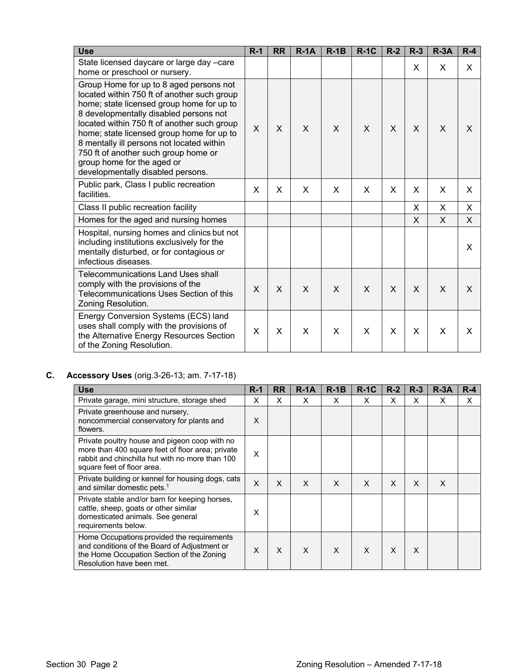| <b>Use</b>                                                                                                                                                                                                                                                                                                                                                                                                                        | $R-1$ | <b>RR</b> | $R-1A$ | $R-1B$       | $R-1C$ | $R-2$ | $R-3$ | $R-3A$   | $R-4$ |
|-----------------------------------------------------------------------------------------------------------------------------------------------------------------------------------------------------------------------------------------------------------------------------------------------------------------------------------------------------------------------------------------------------------------------------------|-------|-----------|--------|--------------|--------|-------|-------|----------|-------|
| State licensed daycare or large day -care<br>home or preschool or nursery.                                                                                                                                                                                                                                                                                                                                                        |       |           |        |              |        |       | X     | X        | X.    |
| Group Home for up to 8 aged persons not<br>located within 750 ft of another such group<br>home; state licensed group home for up to<br>8 developmentally disabled persons not<br>located within 750 ft of another such group<br>home; state licensed group home for up to<br>8 mentally ill persons not located within<br>750 ft of another such group home or<br>group home for the aged or<br>developmentally disabled persons. | X     | X         | X      | $\mathsf{x}$ | X      | X     | X     | X        | X     |
| Public park, Class I public recreation<br>facilities.                                                                                                                                                                                                                                                                                                                                                                             | X     | X         | X      | X            | X      | X     | X     | X        | X     |
| Class II public recreation facility                                                                                                                                                                                                                                                                                                                                                                                               |       |           |        |              |        |       | X     | X        | X.    |
| Homes for the aged and nursing homes                                                                                                                                                                                                                                                                                                                                                                                              |       |           |        |              |        |       | X     | $\times$ | X.    |
| Hospital, nursing homes and clinics but not<br>including institutions exclusively for the<br>mentally disturbed, or for contagious or<br>infectious diseases.                                                                                                                                                                                                                                                                     |       |           |        |              |        |       |       |          | X     |
| Telecommunications Land Uses shall<br>comply with the provisions of the<br>Telecommunications Uses Section of this<br>Zoning Resolution.                                                                                                                                                                                                                                                                                          | X     | X         | X      | X            | X      | X     | X     | $\times$ | X     |
| Energy Conversion Systems (ECS) land<br>uses shall comply with the provisions of<br>the Alternative Energy Resources Section<br>of the Zoning Resolution.                                                                                                                                                                                                                                                                         | X     | X         | X      | X            | X      | X     | X     | X        | X     |

# **C. Accessory Uses** (orig.3-26-13; am. 7-17-18)

| <b>Use</b>                                                                                                                                                                         | $R-1$ | <b>RR</b> | $R - 1A$ | $R-1B$ | $R-1C$ | $R-2$ | $R-3$ | $R - 3A$ | $R - 4$ |
|------------------------------------------------------------------------------------------------------------------------------------------------------------------------------------|-------|-----------|----------|--------|--------|-------|-------|----------|---------|
| Private garage, mini structure, storage shed                                                                                                                                       | X     | X         | X        | X      | X      | X     | X     | X        | X       |
| Private greenhouse and nursery,<br>noncommercial conservatory for plants and<br>flowers.                                                                                           | X     |           |          |        |        |       |       |          |         |
| Private poultry house and pigeon coop with no<br>more than 400 square feet of floor area; private<br>rabbit and chinchilla hut with no more than 100<br>square feet of floor area. | X     |           |          |        |        |       |       |          |         |
| Private building or kennel for housing dogs, cats<br>and similar domestic pets. <sup>1</sup>                                                                                       | X     | $\times$  | X        | X      | X      | X     | X     | X        |         |
| Private stable and/or barn for keeping horses,<br>cattle, sheep, goats or other similar<br>domesticated animals. See general<br>requirements below.                                | X     |           |          |        |        |       |       |          |         |
| Home Occupations provided the requirements<br>and conditions of the Board of Adjustment or<br>the Home Occupation Section of the Zoning<br>Resolution have been met.               | X     | X         | X        | X      | X      | X     | X     |          |         |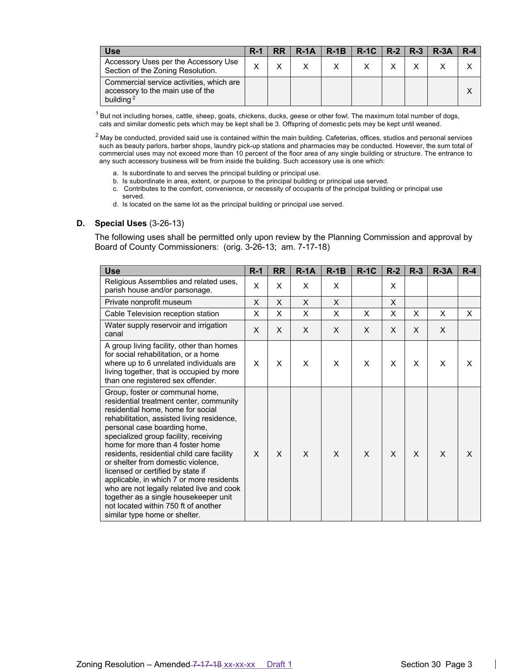| <b>Use</b>                                                                                            | $R-1$ | $RR$   R-1A   R-1B   R-1C   R-2   R-3   R-3A |  |  | $R - 4$ |
|-------------------------------------------------------------------------------------------------------|-------|----------------------------------------------|--|--|---------|
| Accessory Uses per the Accessory Use<br>Section of the Zoning Resolution.                             |       |                                              |  |  |         |
| Commercial service activities, which are<br>accessory to the main use of the<br>building <sup>2</sup> |       |                                              |  |  |         |

 $1$  But not including horses, cattle, sheep, goats, chickens, ducks, geese or other fowl. The maximum total number of dogs, cats and similar domestic pets which may be kept shall be 3. Offspring of domestic pets may be kept until weaned.

 $2$  May be conducted, provided said use is contained within the main building. Cafeterias, offices, studios and personal services such as beauty parlors, barber shops, laundry pick-up stations and pharmacies may be conducted. However, the sum total of commercial uses may not exceed more than 10 percent of the floor area of any single building or structure. The entrance to any such accessory business will be from inside the building. Such accessory use is one which:

- a. Is subordinate to and serves the principal building or principal use.
- b. Is subordinate in area, extent, or purpose to the principal building or principal use served.
- c. Contributes to the comfort, convenience, or necessity of occupants of the principal building or principal use served.
- d. Is located on the same lot as the principal building or principal use served.

#### **D. Special Uses** (3-26-13)

The following uses shall be permitted only upon review by the Planning Commission and approval by Board of County Commissioners: (orig. 3-26-13; am. 7-17-18)

| <b>Use</b>                                                                                                                                                                                                                                                                                                                                                                                                                                                                                                                                                                                                     | $R-1$        | <b>RR</b> | $R-1A$ | $R-1B$ | $R-1C$ | $R-2$ | $R-3$ | $R-3A$ | $R-4$ |
|----------------------------------------------------------------------------------------------------------------------------------------------------------------------------------------------------------------------------------------------------------------------------------------------------------------------------------------------------------------------------------------------------------------------------------------------------------------------------------------------------------------------------------------------------------------------------------------------------------------|--------------|-----------|--------|--------|--------|-------|-------|--------|-------|
| Religious Assemblies and related uses,<br>parish house and/or parsonage.                                                                                                                                                                                                                                                                                                                                                                                                                                                                                                                                       | X            | X         | X      | X      |        | X     |       |        |       |
| Private nonprofit museum                                                                                                                                                                                                                                                                                                                                                                                                                                                                                                                                                                                       | X            | X         | X      | X      |        | X     |       |        |       |
| Cable Television reception station                                                                                                                                                                                                                                                                                                                                                                                                                                                                                                                                                                             | X            | X         | X      | X      | X      | X     | X     | X      | X     |
| Water supply reservoir and irrigation<br>canal                                                                                                                                                                                                                                                                                                                                                                                                                                                                                                                                                                 | X            | X         | X      | X      | X      | X     | X     | X      |       |
| A group living facility, other than homes<br>for social rehabilitation, or a home<br>where up to 6 unrelated individuals are<br>living together, that is occupied by more<br>than one registered sex offender.                                                                                                                                                                                                                                                                                                                                                                                                 | $\mathsf{x}$ | X         | X      | X      | X      | X     | X     | X      | X     |
| Group, foster or communal home,<br>residential treatment center, community<br>residential home, home for social<br>rehabilitation, assisted living residence,<br>personal case boarding home,<br>specialized group facility, receiving<br>home for more than 4 foster home<br>residents, residential child care facility<br>or shelter from domestic violence,<br>licensed or certified by state if<br>applicable, in which 7 or more residents<br>who are not legally related live and cook<br>together as a single housekeeper unit<br>not located within 750 ft of another<br>similar type home or shelter. | $\times$     | X         | X      | X      | X      | X     | X     | X      | X     |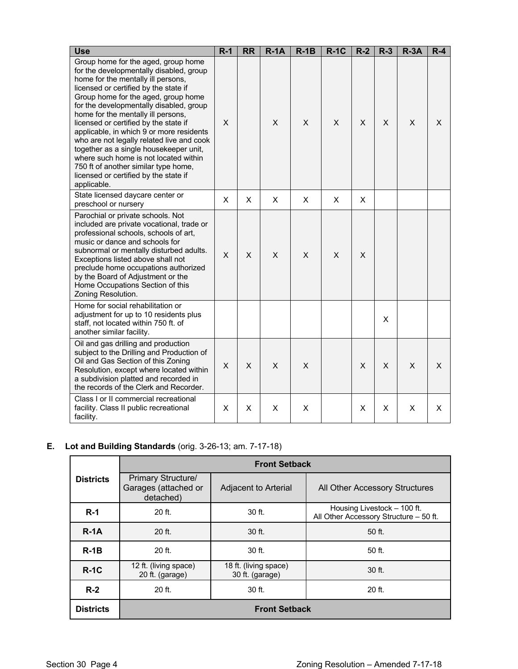| <b>Use</b>                                                                                                                                                                                                                                                                                                                                                                                                                                                                                                                                                                                                 | $R-1$ | <b>RR</b> | $R-1A$ | $R-1B$ | $R-1C$ | $R-2$ | $R-3$ | $R-3A$ | $R-4$ |
|------------------------------------------------------------------------------------------------------------------------------------------------------------------------------------------------------------------------------------------------------------------------------------------------------------------------------------------------------------------------------------------------------------------------------------------------------------------------------------------------------------------------------------------------------------------------------------------------------------|-------|-----------|--------|--------|--------|-------|-------|--------|-------|
| Group home for the aged, group home<br>for the developmentally disabled, group<br>home for the mentally ill persons,<br>licensed or certified by the state if<br>Group home for the aged, group home<br>for the developmentally disabled, group<br>home for the mentally ill persons,<br>licensed or certified by the state if<br>applicable, in which 9 or more residents<br>who are not legally related live and cook<br>together as a single housekeeper unit,<br>where such home is not located within<br>750 ft of another similar type home,<br>licensed or certified by the state if<br>applicable. | X     |           | X      | X      | X      | X     | X     | X      | X     |
| State licensed daycare center or<br>preschool or nursery                                                                                                                                                                                                                                                                                                                                                                                                                                                                                                                                                   | X     | X         | X      | X      | X      | X     |       |        |       |
| Parochial or private schools. Not<br>included are private vocational, trade or<br>professional schools, schools of art,<br>music or dance and schools for<br>subnormal or mentally disturbed adults.<br>Exceptions listed above shall not<br>preclude home occupations authorized<br>by the Board of Adjustment or the<br>Home Occupations Section of this<br>Zoning Resolution.                                                                                                                                                                                                                           | X     | X         | X      | X      | X      | X     |       |        |       |
| Home for social rehabilitation or<br>adjustment for up to 10 residents plus<br>staff, not located within 750 ft. of<br>another similar facility.                                                                                                                                                                                                                                                                                                                                                                                                                                                           |       |           |        |        |        |       | X     |        |       |
| Oil and gas drilling and production<br>subject to the Drilling and Production of<br>Oil and Gas Section of this Zoning<br>Resolution, except where located within<br>a subdivision platted and recorded in<br>the records of the Clerk and Recorder.                                                                                                                                                                                                                                                                                                                                                       | X     | $\times$  | X      | X      |        | X     | X     | X      | X     |
| Class I or II commercial recreational<br>facility. Class II public recreational<br>facility.                                                                                                                                                                                                                                                                                                                                                                                                                                                                                                               | X     | X         | X      | X      |        | X     | X     | X      | X     |

# **E. Lot and Building Standards** (orig. 3-26-13; am. 7-17-18)

|                  |                                                                | <b>Front Setback</b>                     |                                                                       |  |  |  |  |  |
|------------------|----------------------------------------------------------------|------------------------------------------|-----------------------------------------------------------------------|--|--|--|--|--|
| <b>Districts</b> | <b>Primary Structure/</b><br>Garages (attached or<br>detached) | Adjacent to Arterial                     | All Other Accessory Structures                                        |  |  |  |  |  |
| $R-1$            | $20$ ft.                                                       | $30$ ft.                                 | Housing Livestock - 100 ft.<br>All Other Accessory Structure - 50 ft. |  |  |  |  |  |
| $R-1A$           | $20$ ft.                                                       | 30 ft.                                   | 50 ft.                                                                |  |  |  |  |  |
| $R-1B$           | 20 ft.                                                         | $30$ ft.                                 | 50 ft.                                                                |  |  |  |  |  |
| $R-1C$           | 12 ft. (living space)<br>20 ft. (garage)                       | 18 ft. (living space)<br>30 ft. (garage) | $30$ ft.                                                              |  |  |  |  |  |
| $R-2$            | 20 ft.                                                         | $30$ ft.                                 | 20 ft.                                                                |  |  |  |  |  |
| <b>Districts</b> | <b>Front Setback</b>                                           |                                          |                                                                       |  |  |  |  |  |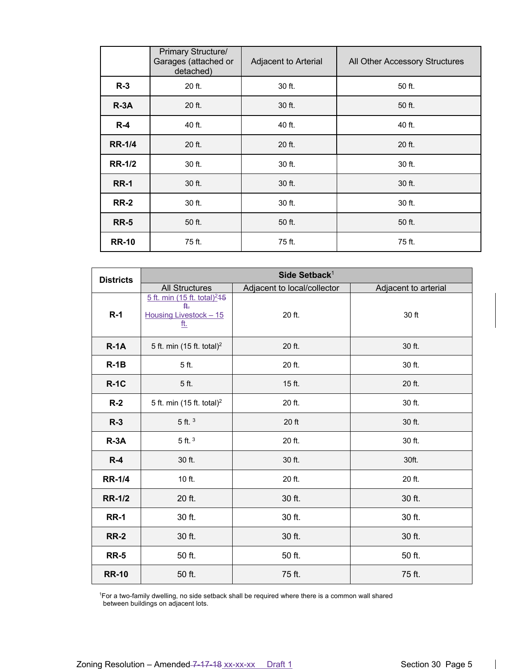|               | <b>Primary Structure/</b><br>Garages (attached or<br>detached) | Adjacent to Arterial | All Other Accessory Structures |
|---------------|----------------------------------------------------------------|----------------------|--------------------------------|
| $R-3$         | 20 ft.                                                         | 30 ft.               | 50 ft.                         |
| $R-3A$        | 20 ft.                                                         | 30 ft.               | 50 ft.                         |
| $R-4$         | 40 ft.                                                         | 40 ft.               | 40 ft.                         |
| <b>RR-1/4</b> | 20 ft.                                                         | 20 ft.               | 20 ft.                         |
| <b>RR-1/2</b> | 30 ft.                                                         | 30 ft.               | 30 ft.                         |
| <b>RR-1</b>   | 30 ft.                                                         | 30 ft.               | 30 ft.                         |
| <b>RR-2</b>   | 30 ft.                                                         | 30 ft.               | 30 ft.                         |
| <b>RR-5</b>   | 50 ft.                                                         | 50 ft.               | 50 ft.                         |
| <b>RR-10</b>  | 75 ft.                                                         | 75 ft.               | 75 ft.                         |

| <b>Districts</b> |                                                                                        | Side Setback <sup>1</sup>   |                      |
|------------------|----------------------------------------------------------------------------------------|-----------------------------|----------------------|
|                  | <b>All Structures</b>                                                                  | Adjacent to local/collector | Adjacent to arterial |
| $R-1$            | 5 ft. min (15 ft. total) <sup>2</sup> 15<br>₿.<br>Housing Livestock - 15<br><u>ft.</u> | 20 ft.                      | 30 ft                |
| $R-1A$           | 5 ft. min (15 ft. total) <sup>2</sup>                                                  | 20 ft.                      | 30 ft.               |
| $R-1B$           | 5 ft.                                                                                  | 20 ft.                      | 30 ft.               |
| $R-1C$           | 5 ft.                                                                                  | 15 ft.                      | 20 ft.               |
| $R-2$            | 5 ft. min (15 ft. total) <sup>2</sup>                                                  | 20 ft.                      | 30 ft.               |
| $R-3$            | $5$ ft. $3$                                                                            | 20 ft                       | 30 ft.               |
| $R-3A$           | $5$ ft. $3$                                                                            | 20 ft.                      | 30 ft.               |
| $R-4$            | 30 ft.                                                                                 | 30 ft.                      | 30ft.                |
| <b>RR-1/4</b>    | 10 ft.                                                                                 | 20 ft.                      | 20 ft.               |
| <b>RR-1/2</b>    | 20 ft.                                                                                 | 30 ft.                      | 30 ft.               |
| <b>RR-1</b>      | 30 ft.                                                                                 | 30 ft.                      | 30 ft.               |
| <b>RR-2</b>      | 30 ft.                                                                                 | 30 ft.                      | 30 ft.               |
| <b>RR-5</b>      | 50 ft.                                                                                 | 50 ft.                      | 50 ft.               |
| <b>RR-10</b>     | 50 ft.                                                                                 | 75 ft.                      | 75 ft.               |

1 For a two-family dwelling, no side setback shall be required where there is a common wall shared between buildings on adjacent lots.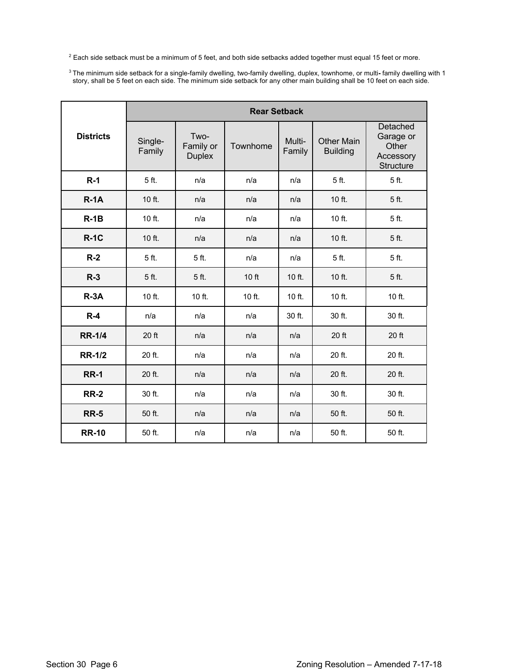$2$  Each side setback must be a minimum of 5 feet, and both side setbacks added together must equal 15 feet or more.

<sup>3</sup> The minimum side setback for a single-family dwelling, two-family dwelling, duplex, townhome, or multi**-** family dwelling with 1 story, shall be 5 feet on each side. The minimum side setback for any other main building shall be 10 feet on each side.

|                  |                   |                                    | <b>Rear Setback</b> |                  |                                      |                                                                 |
|------------------|-------------------|------------------------------------|---------------------|------------------|--------------------------------------|-----------------------------------------------------------------|
| <b>Districts</b> | Single-<br>Family | Two-<br>Family or<br><b>Duplex</b> | Townhome            | Multi-<br>Family | <b>Other Main</b><br><b>Building</b> | Detached<br>Garage or<br>Other<br>Accessory<br><b>Structure</b> |
| $R-1$            | 5 ft.             | n/a                                | n/a                 | n/a              | 5 ft.                                | 5 ft.                                                           |
| $R-1A$           | 10 ft.            | n/a                                | n/a                 | n/a              | 10 ft.                               | 5 ft.                                                           |
| $R-1B$           | 10 ft.            | n/a                                | n/a                 | n/a              | 10 ft.                               | 5 ft.                                                           |
| $R-1C$           | 10 ft.            | n/a                                | n/a                 | n/a              | 10 ft.                               | 5 ft.                                                           |
| $R-2$            | 5 ft.             | 5 ft.                              | n/a                 | n/a              | 5 ft.                                | 5 ft.                                                           |
| $R-3$            | 5 ft.             | 5 ft.                              | 10 ft               | $10$ ft.         | 10 ft.                               | 5 ft.                                                           |
| $R-3A$           | $10$ ft.          | 10 ft.                             | $10$ ft.            | 10 ft.           | 10 ft.                               | $10$ ft.                                                        |
| $R-4$            | n/a               | n/a                                | n/a                 | 30 ft.           | $30$ ft.                             | 30 ft.                                                          |
| <b>RR-1/4</b>    | 20 ft             | n/a                                | n/a                 | n/a              | 20 ft                                | 20 ft                                                           |
| <b>RR-1/2</b>    | 20 ft.            | n/a                                | n/a                 | n/a              | 20 ft.                               | 20 ft.                                                          |
| <b>RR-1</b>      | 20 ft.            | n/a                                | n/a                 | n/a              | 20 ft.                               | 20 ft.                                                          |
| <b>RR-2</b>      | 30 ft.            | n/a                                | n/a                 | n/a              | 30 ft.                               | 30 ft.                                                          |
| <b>RR-5</b>      | 50 ft.            | n/a                                | n/a                 | n/a              | 50 ft.                               | 50 ft.                                                          |
| <b>RR-10</b>     | 50 ft.            | n/a                                | n/a                 | n/a              | 50 ft.                               | 50 ft.                                                          |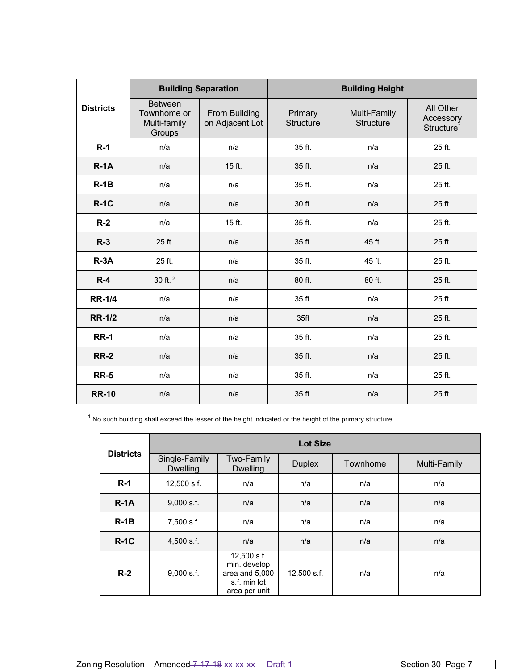|                  | <b>Building Separation</b>                              |                                  |                             | <b>Building Height</b>           |                                                  |
|------------------|---------------------------------------------------------|----------------------------------|-----------------------------|----------------------------------|--------------------------------------------------|
| <b>Districts</b> | <b>Between</b><br>Townhome or<br>Multi-family<br>Groups | From Building<br>on Adjacent Lot | Primary<br><b>Structure</b> | Multi-Family<br><b>Structure</b> | All Other<br>Accessory<br>Structure <sup>1</sup> |
| $R-1$            | n/a                                                     | n/a                              | 35 ft.                      | n/a                              | 25 ft.                                           |
| $R-1A$           | n/a                                                     | 15 ft.                           | 35 ft.                      | n/a                              | 25 ft.                                           |
| $R-1B$           | n/a                                                     | n/a                              | 35 ft.                      | n/a                              | 25 ft.                                           |
| $R-1C$           | n/a                                                     | n/a                              | 30 ft.                      | n/a                              | 25 ft.                                           |
| $R-2$            | n/a                                                     | 15 ft.                           | 35 ft.                      | n/a                              | 25 ft.                                           |
| $R-3$            | 25 ft.                                                  | n/a                              | 35 ft.                      | 45 ft.                           | 25 ft.                                           |
| $R - 3A$         | 25 ft.                                                  | n/a                              | 35 ft.                      | 45 ft.                           | 25 ft.                                           |
| $R-4$            | 30 ft. <sup>2</sup>                                     | n/a                              | 80 ft.                      | 80 ft.                           | 25 ft.                                           |
| <b>RR-1/4</b>    | n/a                                                     | n/a                              | 35 ft.                      | n/a                              | 25 ft.                                           |
| <b>RR-1/2</b>    | n/a                                                     | n/a                              | 35 <sub>ft</sub>            | n/a                              | 25 ft.                                           |
| <b>RR-1</b>      | n/a                                                     | n/a                              | 35 ft.                      | n/a                              | 25 ft.                                           |
| <b>RR-2</b>      | n/a                                                     | n/a                              | 35 ft.                      | n/a                              | 25 ft.                                           |
| <b>RR-5</b>      | n/a                                                     | n/a                              | 35 ft.                      | n/a                              | 25 ft.                                           |
| <b>RR-10</b>     | n/a                                                     | n/a                              | 35 ft.                      | n/a                              | 25 ft.                                           |

 $1$  No such building shall exceed the lesser of the height indicated or the height of the primary structure.

|                  | <b>Lot Size</b>                  |                                                                                |               |          |              |  |  |  |  |
|------------------|----------------------------------|--------------------------------------------------------------------------------|---------------|----------|--------------|--|--|--|--|
| <b>Districts</b> | Single-Family<br><b>Dwelling</b> | Two-Family<br><b>Dwelling</b>                                                  | <b>Duplex</b> | Townhome | Multi-Family |  |  |  |  |
| $R-1$            | 12,500 s.f.                      | n/a                                                                            | n/a           | n/a      | n/a          |  |  |  |  |
| $R-1A$           | $9,000$ s.f.                     | n/a                                                                            | n/a           | n/a      | n/a          |  |  |  |  |
| $R-1B$           | 7,500 s.f.                       | n/a                                                                            | n/a           | n/a      | n/a          |  |  |  |  |
| $R-1C$           | 4,500 s.f.                       | n/a                                                                            | n/a           | n/a      | n/a          |  |  |  |  |
| $R-2$            | $9,000$ s.f.                     | 12,500 s.f.<br>min. develop<br>area and 5,000<br>s.f. min lot<br>area per unit | 12,500 s.f.   | n/a      | n/a          |  |  |  |  |

 $\overline{\phantom{a}}$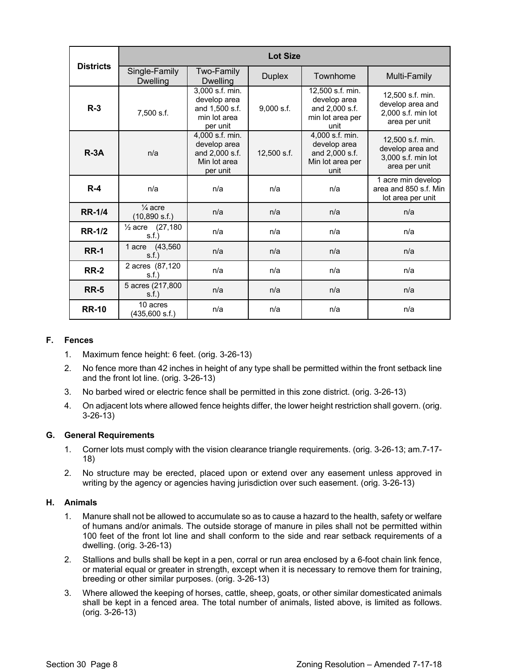| <b>Districts</b> | <b>Lot Size</b>                     |                                                                               |               |                                                                                |                                                                             |
|------------------|-------------------------------------|-------------------------------------------------------------------------------|---------------|--------------------------------------------------------------------------------|-----------------------------------------------------------------------------|
|                  | Single-Family<br><b>Dwelling</b>    | Two-Family<br><b>Dwelling</b>                                                 | <b>Duplex</b> | Townhome                                                                       | Multi-Family                                                                |
| $R-3$            | 7,500 s.f.                          | 3,000 s.f. min.<br>develop area<br>and 1,500 s.f.<br>min lot area<br>per unit | $9,000$ s.f.  | 12,500 s.f. min.<br>develop area<br>and 2,000 s.f.<br>min lot area per<br>unit | 12,500 s.f. min.<br>develop area and<br>2,000 s.f. min lot<br>area per unit |
| $R - 3A$         | n/a                                 | 4,000 s.f. min.<br>develop area<br>and 2,000 s.f.<br>Min lot area<br>per unit | 12,500 s.f.   | 4,000 s.f. min.<br>develop area<br>and 2,000 s.f.<br>Min lot area per<br>unit  | 12,500 s.f. min.<br>develop area and<br>3,000 s.f. min lot<br>area per unit |
| $R-4$            | n/a                                 | n/a                                                                           | n/a           | n/a                                                                            | 1 acre min develop<br>area and 850 s.f. Min<br>lot area per unit            |
| <b>RR-1/4</b>    | $\frac{1}{4}$ acre<br>(10,890 s.f.) | n/a                                                                           | n/a           | n/a                                                                            | n/a                                                                         |
| <b>RR-1/2</b>    | $\frac{1}{2}$ acre (27,180)<br>s.f. | n/a                                                                           | n/a           | n/a                                                                            | n/a                                                                         |
| <b>RR-1</b>      | (43,560)<br>1 acre<br>s.f.          | n/a                                                                           | n/a           | n/a                                                                            | n/a                                                                         |
| <b>RR-2</b>      | 2 acres (87,120)<br>s.f.            | n/a                                                                           | n/a           | n/a                                                                            | n/a                                                                         |
| <b>RR-5</b>      | 5 acres (217,800<br>S.f.            | n/a                                                                           | n/a           | n/a                                                                            | n/a                                                                         |
| <b>RR-10</b>     | 10 acres<br>(435,600 s.f.)          | n/a                                                                           | n/a           | n/a                                                                            | n/a                                                                         |

# **F. Fences**

- 1. Maximum fence height: 6 feet. (orig. 3-26-13)
- 2. No fence more than 42 inches in height of any type shall be permitted within the front setback line and the front lot line. (orig. 3-26-13)
- 3. No barbed wired or electric fence shall be permitted in this zone district. (orig. 3-26-13)
- 4. On adjacent lots where allowed fence heights differ, the lower height restriction shall govern. (orig. 3-26-13)

# **G. General Requirements**

- 1. Corner lots must comply with the vision clearance triangle requirements. (orig. 3-26-13; am.7-17- 18)
- 2. No structure may be erected, placed upon or extend over any easement unless approved in writing by the agency or agencies having jurisdiction over such easement. (orig. 3-26-13)

# **H. Animals**

- 1. Manure shall not be allowed to accumulate so as to cause a hazard to the health, safety or welfare of humans and/or animals. The outside storage of manure in piles shall not be permitted within 100 feet of the front lot line and shall conform to the side and rear setback requirements of a dwelling. (orig. 3-26-13)
- 2. Stallions and bulls shall be kept in a pen, corral or run area enclosed by a 6-foot chain link fence, or material equal or greater in strength, except when it is necessary to remove them for training, breeding or other similar purposes. (orig. 3-26-13)
- 3. Where allowed the keeping of horses, cattle, sheep, goats, or other similar domesticated animals shall be kept in a fenced area. The total number of animals, listed above, is limited as follows. (orig. 3-26-13)